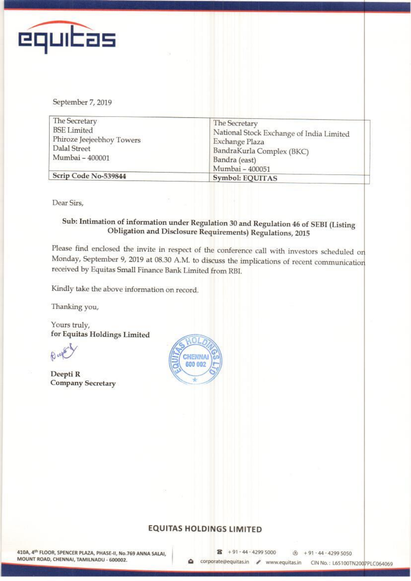

September 7, 2019

| The Secretary                   | The Secretary                            |
|---------------------------------|------------------------------------------|
| <b>BSE</b> Limited              | National Stock Exchange of India Limited |
| Phiroze Jeejeebhoy Towers       | Exchange Plaza                           |
| Dalal Street<br>Mumbai - 400001 | BandraKurla Complex (BKC)                |
|                                 | Bandra (east)                            |
|                                 | Mumbai - 400051                          |
| Scrip Code No-539844            | Symbol: EQUITAS                          |

Dear Sirs,

## Sub: Intimation of information under Regulation <sup>30</sup> and Regulation <sup>46</sup> of SFBI (Listing Obligation and Disclosure Requirements) Regulations, <sup>2015</sup>

Please find enclosed the invite in respect of the conference call with investors scheduled on Monday, September 9, 2019 at 08.30 A.M. to discuss the implications of recent communication received by Fquitas Small Finance Bank Limited from RBI.

Kindly take the above information on record.

Thanking you,

Yours truly, for Fquitas Holdings Limited

 $R<sub>u</sub>$ 

Deepti R Company Secretary



## **EQUITAS HOLDINGS LIMITED**